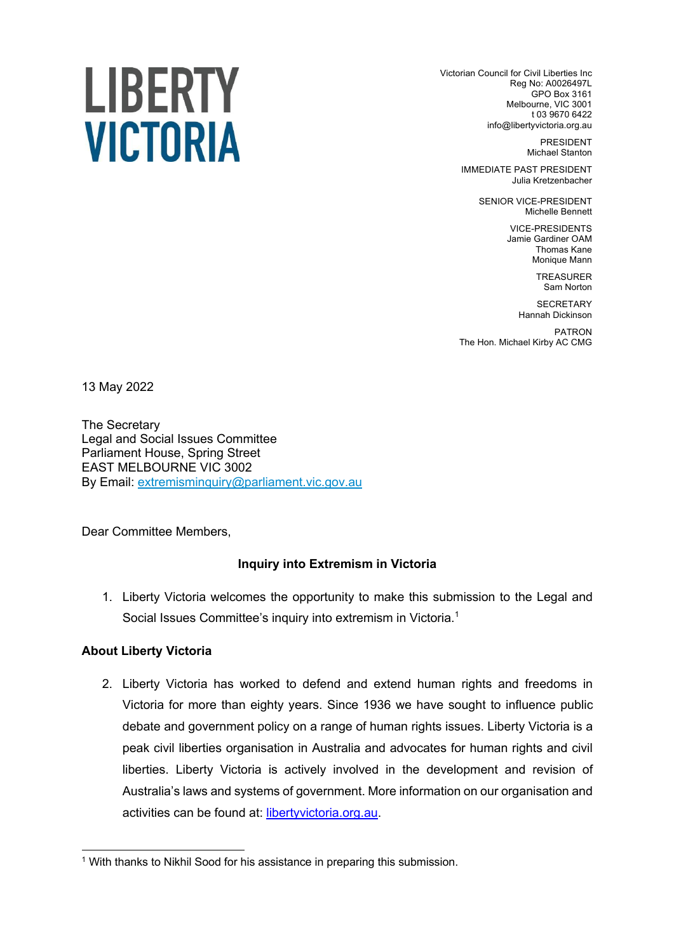# LIBERTY **VICTORIA**

Victorian Council for Civil Liberties Inc Reg No: A0026497L GPO Box 3161 Melbourne, VIC 3001 t 03 9670 6422 info@libertyvictoria.org.au

> PRESIDENT Michael Stanton

IMMEDIATE PAST PRESIDENT Julia Kretzenbacher

> SENIOR VICE-PRESIDENT Michelle Bennett

> > VICE-PRESIDENTS Jamie Gardiner OAM Thomas Kane Monique Mann

> > > TREASURER Sam Norton

**SECRETARY** Hannah Dickinson

PATRON The Hon. Michael Kirby AC CMG

13 May 2022

The Secretary Legal and Social Issues Committee Parliament House, Spring Street EAST MELBOURNE VIC 3002 By Email: extremisminquiry@parliament.vic.gov.au

Dear Committee Members,

# **Inquiry into Extremism in Victoria**

1. Liberty Victoria welcomes the opportunity to make this submission to the Legal and Social Issues Committee's inquiry into extremism in Victoria.<sup>1</sup>

# **About Liberty Victoria**

2. Liberty Victoria has worked to defend and extend human rights and freedoms in Victoria for more than eighty years. Since 1936 we have sought to influence public debate and government policy on a range of human rights issues. Liberty Victoria is a peak civil liberties organisation in Australia and advocates for human rights and civil liberties. Liberty Victoria is actively involved in the development and revision of Australia's laws and systems of government. More information on our organisation and activities can be found at: libertyvictoria.org.au.

<sup>&</sup>lt;sup>1</sup> With thanks to Nikhil Sood for his assistance in preparing this submission.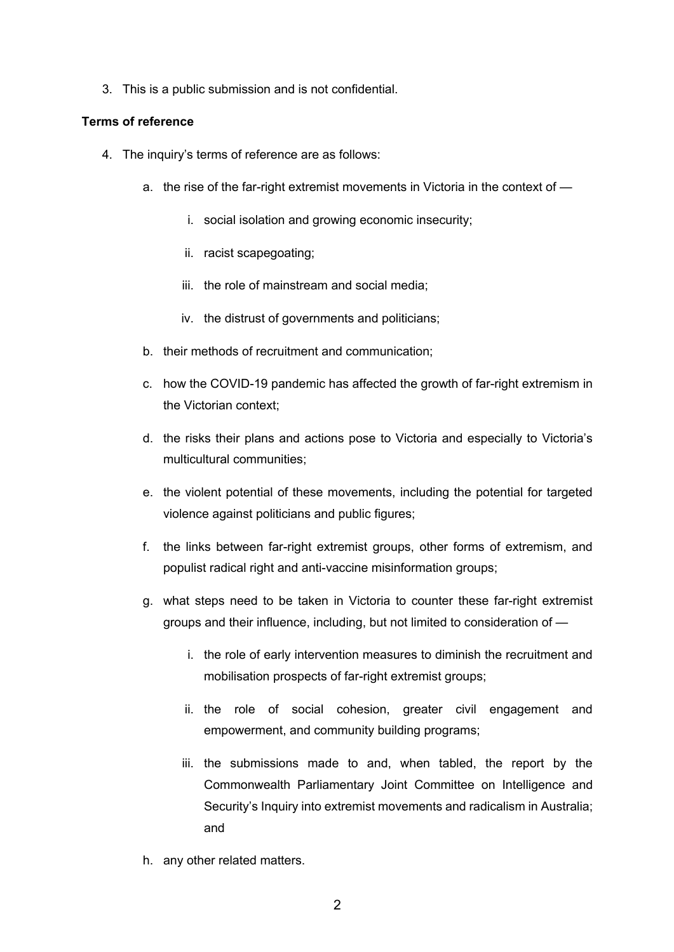3. This is a public submission and is not confidential.

# **Terms of reference**

- 4. The inquiry's terms of reference are as follows:
	- a. the rise of the far-right extremist movements in Victoria in the context of
		- i. social isolation and growing economic insecurity;
		- ii. racist scapegoating;
		- iii. the role of mainstream and social media;
		- iv. the distrust of governments and politicians;
	- b. their methods of recruitment and communication;
	- c. how the COVID-19 pandemic has affected the growth of far-right extremism in the Victorian context;
	- d. the risks their plans and actions pose to Victoria and especially to Victoria's multicultural communities;
	- e. the violent potential of these movements, including the potential for targeted violence against politicians and public figures;
	- f. the links between far-right extremist groups, other forms of extremism, and populist radical right and anti-vaccine misinformation groups;
	- g. what steps need to be taken in Victoria to counter these far-right extremist groups and their influence, including, but not limited to consideration of
		- i. the role of early intervention measures to diminish the recruitment and mobilisation prospects of far-right extremist groups;
		- ii. the role of social cohesion, greater civil engagement and empowerment, and community building programs;
		- iii. the submissions made to and, when tabled, the report by the Commonwealth Parliamentary Joint Committee on Intelligence and Security's Inquiry into extremist movements and radicalism in Australia; and
	- h. any other related matters.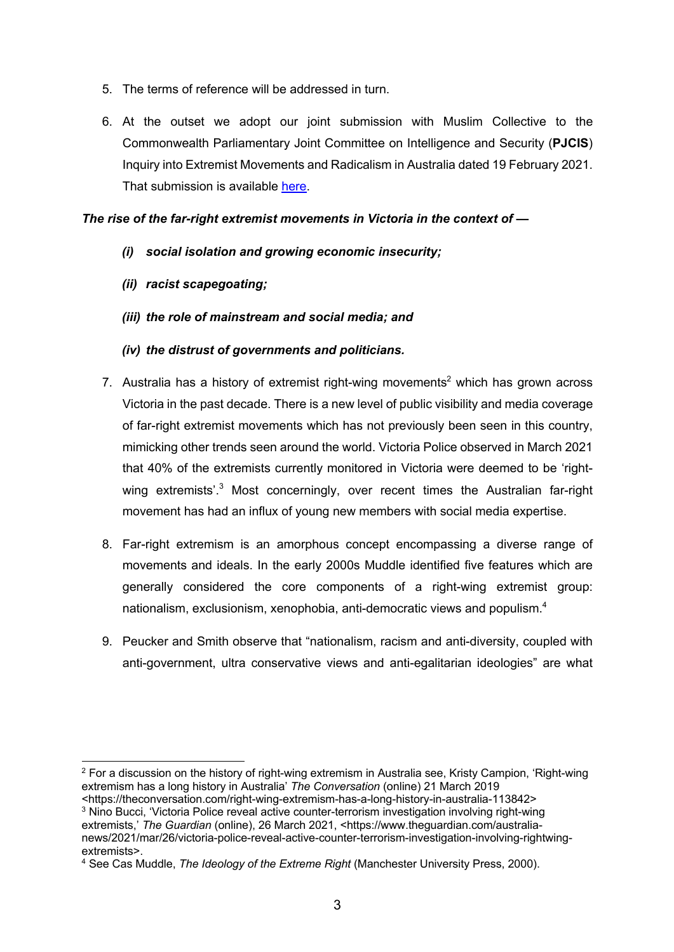- 5. The terms of reference will be addressed in turn.
- 6. At the outset we adopt our joint submission with Muslim Collective to the Commonwealth Parliamentary Joint Committee on Intelligence and Security (**PJCIS**) Inquiry into Extremist Movements and Radicalism in Australia dated 19 February 2021. That submission is available here.

## *The rise of the far-right extremist movements in Victoria in the context of —*

- *(i) social isolation and growing economic insecurity;*
- *(ii) racist scapegoating;*
- *(iii) the role of mainstream and social media; and*
- *(iv) the distrust of governments and politicians.*
- 7. Australia has a history of extremist right-wing movements<sup>2</sup> which has grown across Victoria in the past decade. There is a new level of public visibility and media coverage of far-right extremist movements which has not previously been seen in this country, mimicking other trends seen around the world. Victoria Police observed in March 2021 that 40% of the extremists currently monitored in Victoria were deemed to be 'rightwing extremists'.<sup>3</sup> Most concerningly, over recent times the Australian far-right movement has had an influx of young new members with social media expertise.
- 8. Far-right extremism is an amorphous concept encompassing a diverse range of movements and ideals. In the early 2000s Muddle identified five features which are generally considered the core components of a right-wing extremist group: nationalism, exclusionism, xenophobia, anti-democratic views and populism.4
- 9. Peucker and Smith observe that "nationalism, racism and anti-diversity, coupled with anti-government, ultra conservative views and anti-egalitarian ideologies" are what

<sup>&</sup>lt;sup>2</sup> For a discussion on the history of right-wing extremism in Australia see, Kristy Campion, 'Right-wing extremism has a long history in Australia' *The Conversation* (online) 21 March 2019

<sup>&</sup>lt;https://theconversation.com/right-wing-extremism-has-a-long-history-in-australia-113842> <sup>3</sup> Nino Bucci, 'Victoria Police reveal active counter-terrorism investigation involving right-wing

extremists,' The Guardian (online), 26 March 2021, <https://www.theguardian.com/australianews/2021/mar/26/victoria-police-reveal-active-counter-terrorism-investigation-involving-rightwingextremists>.

<sup>4</sup> See Cas Muddle, *The Ideology of the Extreme Right* (Manchester University Press, 2000).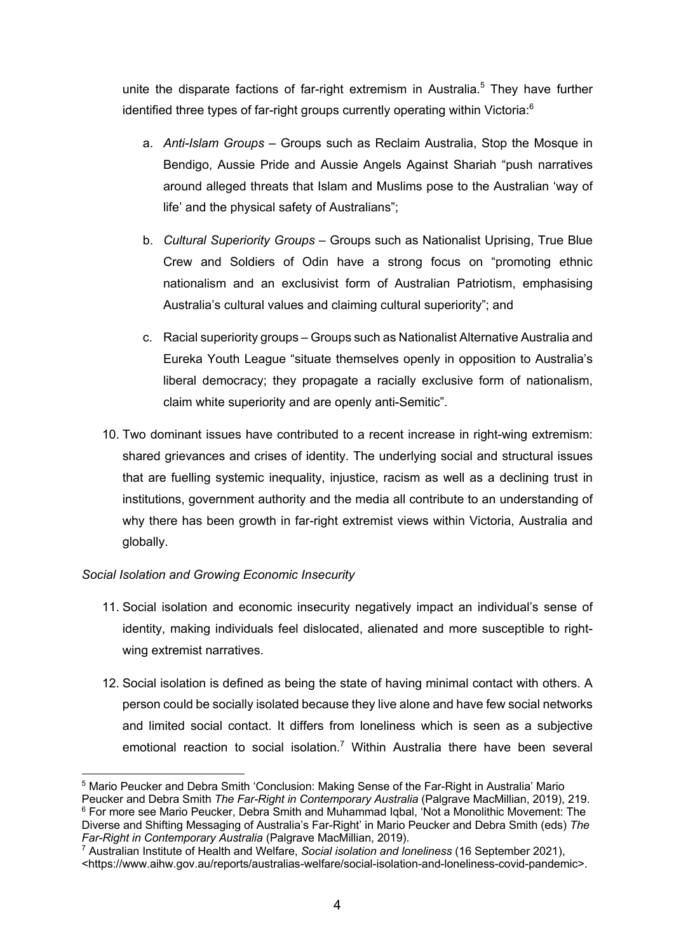unite the disparate factions of far-right extremism in Australia.<sup>5</sup> They have further identified three types of far-right groups currently operating within Victoria:<sup>6</sup>

- a. *Anti-Islam Groups* Groups such as Reclaim Australia, Stop the Mosque in Bendigo, Aussie Pride and Aussie Angels Against Shariah "push narratives around alleged threats that Islam and Muslims pose to the Australian 'way of life' and the physical safety of Australians";
- b. *Cultural Superiority Groups* Groups such as Nationalist Uprising, True Blue Crew and Soldiers of Odin have a strong focus on "promoting ethnic nationalism and an exclusivist form of Australian Patriotism, emphasising Australia's cultural values and claiming cultural superiority"; and
- c. Racial superiority groups Groups such as Nationalist Alternative Australia and Eureka Youth League "situate themselves openly in opposition to Australia's liberal democracy; they propagate a racially exclusive form of nationalism, claim white superiority and are openly anti-Semitic".
- 10. Two dominant issues have contributed to a recent increase in right-wing extremism: shared grievances and crises of identity. The underlying social and structural issues that are fuelling systemic inequality, injustice, racism as well as a declining trust in institutions, government authority and the media all contribute to an understanding of why there has been growth in far-right extremist views within Victoria, Australia and globally.

# *Social Isolation and Growing Economic Insecurity*

- 11. Social isolation and economic insecurity negatively impact an individual's sense of identity, making individuals feel dislocated, alienated and more susceptible to rightwing extremist narratives.
- 12. Social isolation is defined as being the state of having minimal contact with others. A person could be socially isolated because they live alone and have few social networks and limited social contact. It differs from loneliness which is seen as a subjective emotional reaction to social isolation.<sup>7</sup> Within Australia there have been several

<sup>5</sup> Mario Peucker and Debra Smith 'Conclusion: Making Sense of the Far-Right in Australia' Mario Peucker and Debra Smith *The Far-Right in Contemporary Australia* (Palgrave MacMillian, 2019), 219. <sup>6</sup> For more see Mario Peucker, Debra Smith and Muhammad Iqbal, 'Not a Monolithic Movement: The Diverse and Shifting Messaging of Australia's Far-Right' in Mario Peucker and Debra Smith (eds) *The Far-Right in Contemporary Australia* (Palgrave MacMillian, 2019).

<sup>7</sup> Australian Institute of Health and Welfare, *Social isolation and loneliness* (16 September 2021), <https://www.aihw.gov.au/reports/australias-welfare/social-isolation-and-loneliness-covid-pandemic>.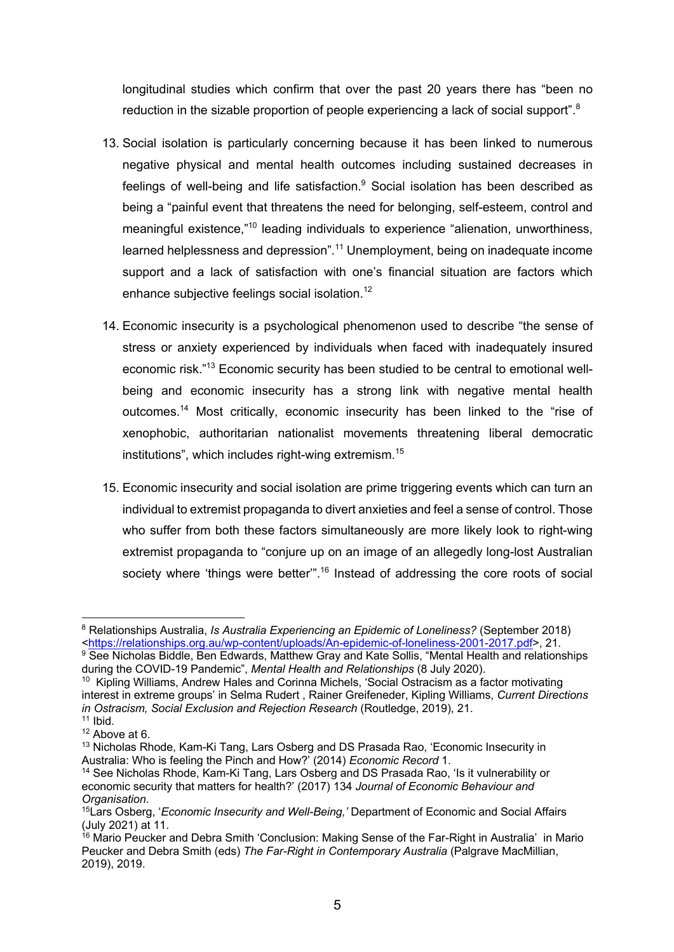longitudinal studies which confirm that over the past 20 years there has "been no reduction in the sizable proportion of people experiencing a lack of social support".<sup>8</sup>

- 13. Social isolation is particularly concerning because it has been linked to numerous negative physical and mental health outcomes including sustained decreases in feelings of well-being and life satisfaction.<sup>9</sup> Social isolation has been described as being a "painful event that threatens the need for belonging, self-esteem, control and meaningful existence,"<sup>10</sup> leading individuals to experience "alienation, unworthiness, learned helplessness and depression".<sup>11</sup> Unemployment, being on inadequate income support and a lack of satisfaction with one's financial situation are factors which enhance subjective feelings social isolation.<sup>12</sup>
- 14. Economic insecurity is a psychological phenomenon used to describe "the sense of stress or anxiety experienced by individuals when faced with inadequately insured economic risk."<sup>13</sup> Economic security has been studied to be central to emotional wellbeing and economic insecurity has a strong link with negative mental health outcomes.14 Most critically, economic insecurity has been linked to the "rise of xenophobic, authoritarian nationalist movements threatening liberal democratic institutions", which includes right-wing extremism.<sup>15</sup>
- 15. Economic insecurity and social isolation are prime triggering events which can turn an individual to extremist propaganda to divert anxieties and feel a sense of control. Those who suffer from both these factors simultaneously are more likely look to right-wing extremist propaganda to "conjure up on an image of an allegedly long-lost Australian society where 'things were better".<sup>16</sup> Instead of addressing the core roots of social

<sup>8</sup> Relationships Australia, *Is Australia Experiencing an Epidemic of Loneliness?* (September 2018) <https://relationships.org.au/wp-content/uploads/An-epidemic-of-loneliness-2001-2017.pdf>, 21.

<sup>9</sup> See Nicholas Biddle, Ben Edwards, Matthew Gray and Kate Sollis, "Mental Health and relationships during the COVID-19 Pandemic", *Mental Health and Relationships* (8 July 2020).

<sup>&</sup>lt;sup>10</sup> Kipling Williams, Andrew Hales and Corinna Michels, 'Social Ostracism as a factor motivating interest in extreme groups' in Selma Rudert , Rainer Greifeneder, Kipling Williams, *Current Directions in Ostracism, Social Exclusion and Rejection Research* (Routledge, 2019), 21.

 $11$  Ibid.

<sup>&</sup>lt;sup>12</sup> Above at 6.

<sup>&</sup>lt;sup>13</sup> Nicholas Rhode, Kam-Ki Tang, Lars Osberg and DS Prasada Rao, 'Economic Insecurity in Australia: Who is feeling the Pinch and How?' (2014) *Economic Record* 1.

<sup>&</sup>lt;sup>14</sup> See Nicholas Rhode, Kam-Ki Tang, Lars Osberg and DS Prasada Rao, 'Is it vulnerability or economic security that matters for health?' (2017) 134 *Journal of Economic Behaviour and Organisation.* 

<sup>15</sup>Lars Osberg, '*Economic Insecurity and Well-Being,'* Department of Economic and Social Affairs (July 2021) at 11.

<sup>&</sup>lt;sup>16</sup> Mario Peucker and Debra Smith 'Conclusion: Making Sense of the Far-Right in Australia' in Mario Peucker and Debra Smith (eds) *The Far-Right in Contemporary Australia* (Palgrave MacMillian, 2019), 2019.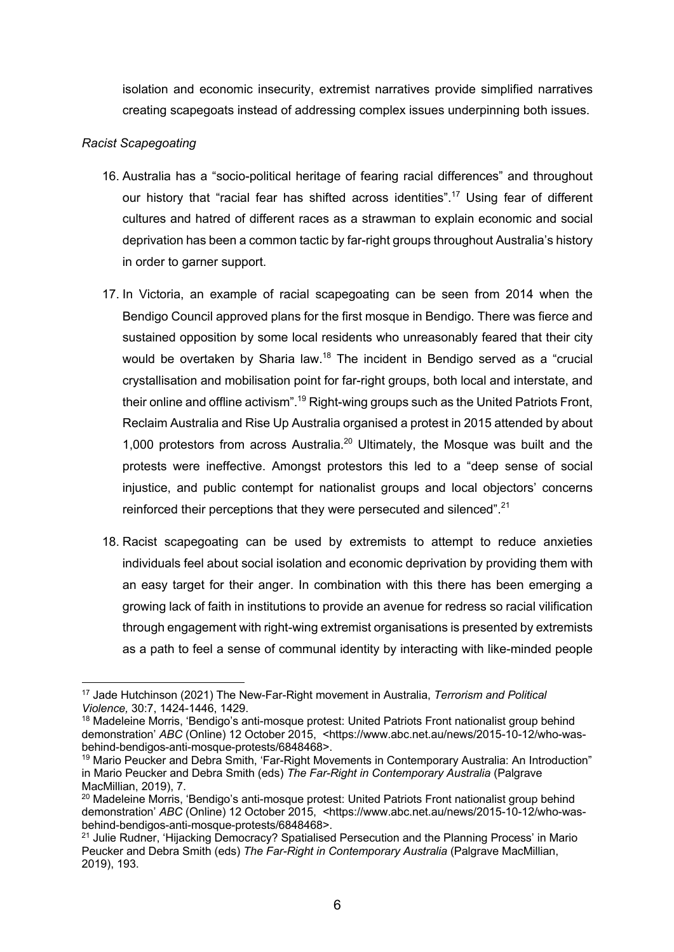isolation and economic insecurity, extremist narratives provide simplified narratives creating scapegoats instead of addressing complex issues underpinning both issues.

## *Racist Scapegoating*

- 16. Australia has a "socio-political heritage of fearing racial differences" and throughout our history that "racial fear has shifted across identities".<sup>17</sup> Using fear of different cultures and hatred of different races as a strawman to explain economic and social deprivation has been a common tactic by far-right groups throughout Australia's history in order to garner support.
- 17. In Victoria, an example of racial scapegoating can be seen from 2014 when the Bendigo Council approved plans for the first mosque in Bendigo. There was fierce and sustained opposition by some local residents who unreasonably feared that their city would be overtaken by Sharia law.<sup>18</sup> The incident in Bendigo served as a "crucial crystallisation and mobilisation point for far-right groups, both local and interstate, and their online and offline activism".<sup>19</sup> Right-wing groups such as the United Patriots Front, Reclaim Australia and Rise Up Australia organised a protest in 2015 attended by about 1,000 protestors from across Australia. $20$  Ultimately, the Mosque was built and the protests were ineffective. Amongst protestors this led to a "deep sense of social injustice, and public contempt for nationalist groups and local objectors' concerns reinforced their perceptions that they were persecuted and silenced".<sup>21</sup>
- 18. Racist scapegoating can be used by extremists to attempt to reduce anxieties individuals feel about social isolation and economic deprivation by providing them with an easy target for their anger. In combination with this there has been emerging a growing lack of faith in institutions to provide an avenue for redress so racial vilification through engagement with right-wing extremist organisations is presented by extremists as a path to feel a sense of communal identity by interacting with like-minded people

<sup>17</sup> Jade Hutchinson (2021) The New-Far-Right movement in Australia, *Terrorism and Political Violence,* 30:7, 1424-1446, 1429.

<sup>&</sup>lt;sup>18</sup> Madeleine Morris, 'Bendigo's anti-mosque protest: United Patriots Front nationalist group behind demonstration' *ABC* (Online) 12 October 2015, <https://www.abc.net.au/news/2015-10-12/who-wasbehind-bendigos-anti-mosque-protests/6848468>.

<sup>&</sup>lt;sup>19</sup> Mario Peucker and Debra Smith, 'Far-Right Movements in Contemporary Australia: An Introduction" in Mario Peucker and Debra Smith (eds) *The Far-Right in Contemporary Australia* (Palgrave MacMillian, 2019), 7.

<sup>&</sup>lt;sup>20</sup> Madeleine Morris, 'Bendigo's anti-mosque protest: United Patriots Front nationalist group behind demonstration' *ABC* (Online) 12 October 2015, <https://www.abc.net.au/news/2015-10-12/who-wasbehind-bendigos-anti-mosque-protests/6848468>.

<sup>&</sup>lt;sup>21</sup> Julie Rudner, 'Hijacking Democracy? Spatialised Persecution and the Planning Process' in Mario Peucker and Debra Smith (eds) *The Far-Right in Contemporary Australia* (Palgrave MacMillian, 2019), 193.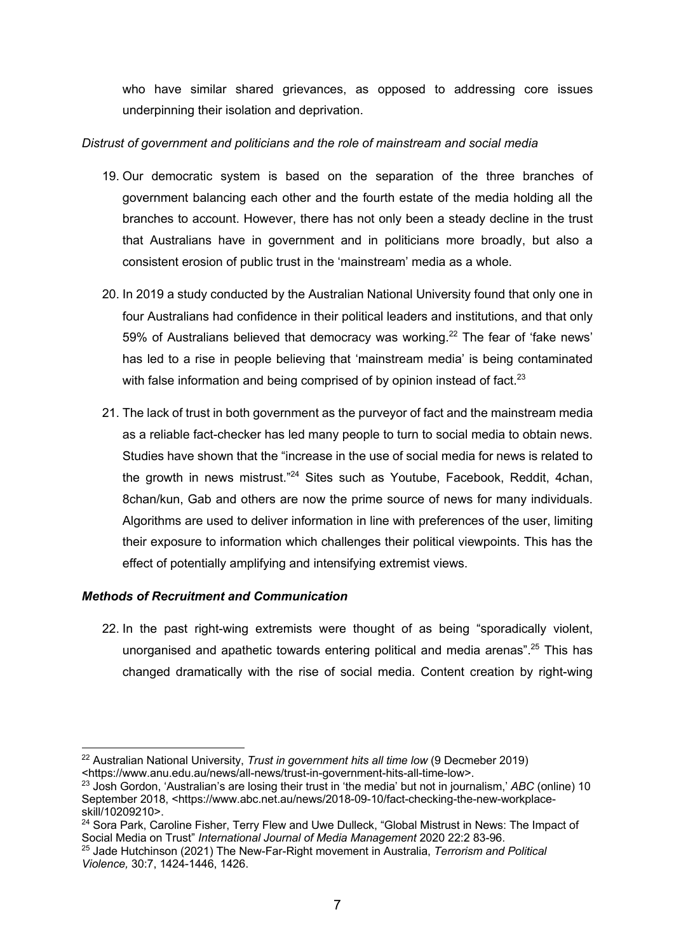who have similar shared grievances, as opposed to addressing core issues underpinning their isolation and deprivation.

## *Distrust of government and politicians and the role of mainstream and social media*

- 19. Our democratic system is based on the separation of the three branches of government balancing each other and the fourth estate of the media holding all the branches to account. However, there has not only been a steady decline in the trust that Australians have in government and in politicians more broadly, but also a consistent erosion of public trust in the 'mainstream' media as a whole.
- 20. In 2019 a study conducted by the Australian National University found that only one in four Australians had confidence in their political leaders and institutions, and that only 59% of Australians believed that democracy was working.<sup>22</sup> The fear of 'fake news' has led to a rise in people believing that 'mainstream media' is being contaminated with false information and being comprised of by opinion instead of fact.<sup>23</sup>
- 21. The lack of trust in both government as the purveyor of fact and the mainstream media as a reliable fact-checker has led many people to turn to social media to obtain news. Studies have shown that the "increase in the use of social media for news is related to the growth in news mistrust."24 Sites such as Youtube, Facebook, Reddit, 4chan, 8chan/kun, Gab and others are now the prime source of news for many individuals. Algorithms are used to deliver information in line with preferences of the user, limiting their exposure to information which challenges their political viewpoints. This has the effect of potentially amplifying and intensifying extremist views.

#### *Methods of Recruitment and Communication*

22. In the past right-wing extremists were thought of as being "sporadically violent, unorganised and apathetic towards entering political and media arenas".<sup>25</sup> This has changed dramatically with the rise of social media. Content creation by right-wing

<sup>22</sup> Australian National University, *Trust in government hits all time low* (9 Decmeber 2019) <https://www.anu.edu.au/news/all-news/trust-in-government-hits-all-time-low>.

<sup>23</sup> Josh Gordon, 'Australian's are losing their trust in 'the media' but not in journalism,' *ABC* (online) 10 September 2018, <https://www.abc.net.au/news/2018-09-10/fact-checking-the-new-workplaceskill/10209210>.

<sup>&</sup>lt;sup>24</sup> Sora Park, Caroline Fisher, Terry Flew and Uwe Dulleck, "Global Mistrust in News: The Impact of Social Media on Trust" *International Journal of Media Management* 2020 22:2 83-96.

<sup>25</sup> Jade Hutchinson (2021) The New-Far-Right movement in Australia, *Terrorism and Political Violence,* 30:7, 1424-1446, 1426.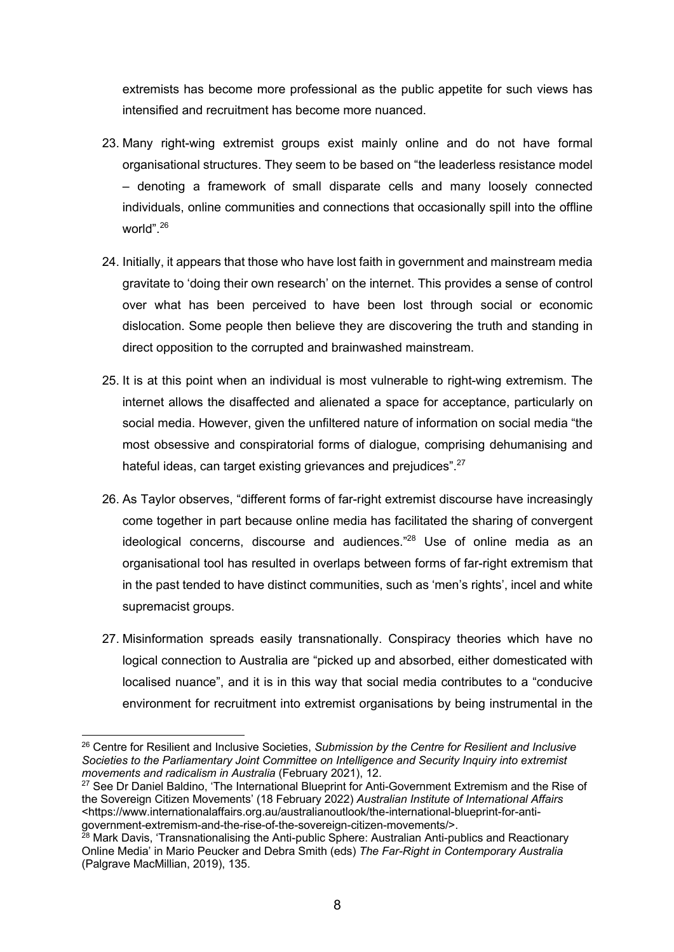extremists has become more professional as the public appetite for such views has intensified and recruitment has become more nuanced.

- 23. Many right-wing extremist groups exist mainly online and do not have formal organisational structures. They seem to be based on "the leaderless resistance model – denoting a framework of small disparate cells and many loosely connected individuals, online communities and connections that occasionally spill into the offline world". 26
- 24. Initially, it appears that those who have lost faith in government and mainstream media gravitate to 'doing their own research' on the internet. This provides a sense of control over what has been perceived to have been lost through social or economic dislocation. Some people then believe they are discovering the truth and standing in direct opposition to the corrupted and brainwashed mainstream.
- 25. It is at this point when an individual is most vulnerable to right-wing extremism. The internet allows the disaffected and alienated a space for acceptance, particularly on social media. However, given the unfiltered nature of information on social media "the most obsessive and conspiratorial forms of dialogue, comprising dehumanising and hateful ideas, can target existing grievances and prejudices".<sup>27</sup>
- 26. As Taylor observes, "different forms of far-right extremist discourse have increasingly come together in part because online media has facilitated the sharing of convergent ideological concerns, discourse and audiences."28 Use of online media as an organisational tool has resulted in overlaps between forms of far-right extremism that in the past tended to have distinct communities, such as 'men's rights', incel and white supremacist groups.
- 27. Misinformation spreads easily transnationally. Conspiracy theories which have no logical connection to Australia are "picked up and absorbed, either domesticated with localised nuance", and it is in this way that social media contributes to a "conducive environment for recruitment into extremist organisations by being instrumental in the

<sup>26</sup> Centre for Resilient and Inclusive Societies, *Submission by the Centre for Resilient and Inclusive Societies to the Parliamentary Joint Committee on Intelligence and Security Inquiry into extremist movements and radicalism in Australia* (February 2021), 12.

<sup>&</sup>lt;sup>27</sup> See Dr Daniel Baldino, 'The International Blueprint for Anti-Government Extremism and the Rise of the Sovereign Citizen Movements' (18 February 2022) *Australian Institute of International Affairs*  <https://www.internationalaffairs.org.au/australianoutlook/the-international-blueprint-for-antigovernment-extremism-and-the-rise-of-the-sovereign-citizen-movements/>.

<sup>&</sup>lt;sup>28</sup> Mark Davis, 'Transnationalising the Anti-public Sphere: Australian Anti-publics and Reactionary Online Media' in Mario Peucker and Debra Smith (eds) *The Far-Right in Contemporary Australia*  (Palgrave MacMillian, 2019), 135.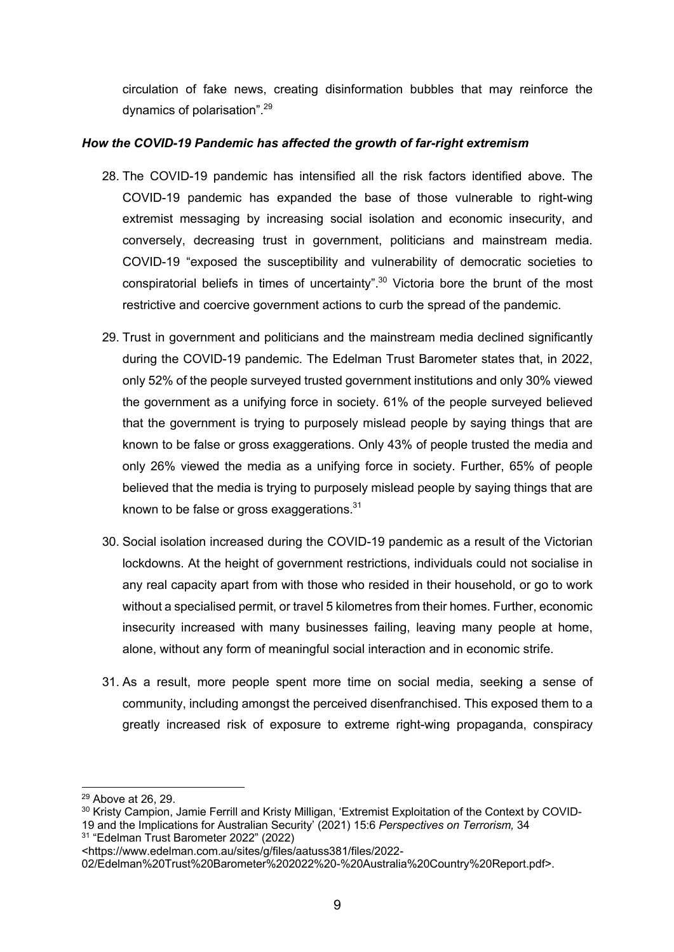circulation of fake news, creating disinformation bubbles that may reinforce the dynamics of polarisation".<sup>29</sup>

## *How the COVID-19 Pandemic has affected the growth of far-right extremism*

- 28. The COVID-19 pandemic has intensified all the risk factors identified above. The COVID-19 pandemic has expanded the base of those vulnerable to right-wing extremist messaging by increasing social isolation and economic insecurity, and conversely, decreasing trust in government, politicians and mainstream media. COVID-19 "exposed the susceptibility and vulnerability of democratic societies to conspiratorial beliefs in times of uncertainty".<sup>30</sup> Victoria bore the brunt of the most restrictive and coercive government actions to curb the spread of the pandemic.
- 29. Trust in government and politicians and the mainstream media declined significantly during the COVID-19 pandemic. The Edelman Trust Barometer states that, in 2022, only 52% of the people surveyed trusted government institutions and only 30% viewed the government as a unifying force in society. 61% of the people surveyed believed that the government is trying to purposely mislead people by saying things that are known to be false or gross exaggerations. Only 43% of people trusted the media and only 26% viewed the media as a unifying force in society. Further, 65% of people believed that the media is trying to purposely mislead people by saying things that are known to be false or gross exaggerations. $31$
- 30. Social isolation increased during the COVID-19 pandemic as a result of the Victorian lockdowns. At the height of government restrictions, individuals could not socialise in any real capacity apart from with those who resided in their household, or go to work without a specialised permit, or travel 5 kilometres from their homes. Further, economic insecurity increased with many businesses failing, leaving many people at home, alone, without any form of meaningful social interaction and in economic strife.
- 31. As a result, more people spent more time on social media, seeking a sense of community, including amongst the perceived disenfranchised. This exposed them to a greatly increased risk of exposure to extreme right-wing propaganda, conspiracy

<sup>29</sup> Above at 26, 29.

<sup>&</sup>lt;sup>30</sup> Kristy Campion, Jamie Ferrill and Kristy Milligan, 'Extremist Exploitation of the Context by COVID-19 and the Implications for Australian Security' (2021) 15:6 *Perspectives on Terrorism,* 34 <sup>31</sup> "Edelman Trust Barometer 2022" (2022)

<sup>&</sup>lt;https://www.edelman.com.au/sites/g/files/aatuss381/files/2022-

<sup>02/</sup>Edelman%20Trust%20Barometer%202022%20-%20Australia%20Country%20Report.pdf>.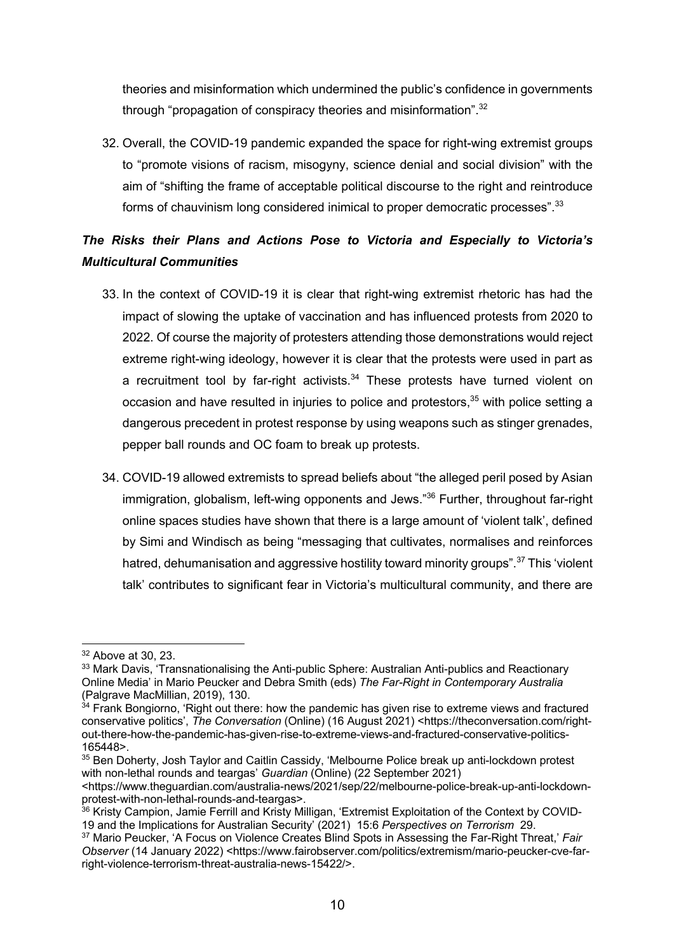theories and misinformation which undermined the public's confidence in governments through "propagation of conspiracy theories and misinformation".<sup>32</sup>

32. Overall, the COVID-19 pandemic expanded the space for right-wing extremist groups to "promote visions of racism, misogyny, science denial and social division" with the aim of "shifting the frame of acceptable political discourse to the right and reintroduce forms of chauvinism long considered inimical to proper democratic processes".<sup>33</sup>

# *The Risks their Plans and Actions Pose to Victoria and Especially to Victoria's Multicultural Communities*

- 33. In the context of COVID-19 it is clear that right-wing extremist rhetoric has had the impact of slowing the uptake of vaccination and has influenced protests from 2020 to 2022. Of course the majority of protesters attending those demonstrations would reject extreme right-wing ideology, however it is clear that the protests were used in part as a recruitment tool by far-right activists. $34$  These protests have turned violent on occasion and have resulted in injuries to police and protestors,<sup>35</sup> with police setting a dangerous precedent in protest response by using weapons such as stinger grenades, pepper ball rounds and OC foam to break up protests.
- 34. COVID-19 allowed extremists to spread beliefs about "the alleged peril posed by Asian immigration, globalism, left-wing opponents and Jews."<sup>36</sup> Further, throughout far-right online spaces studies have shown that there is a large amount of 'violent talk', defined by Simi and Windisch as being "messaging that cultivates, normalises and reinforces hatred, dehumanisation and aggressive hostility toward minority groups".<sup>37</sup> This 'violent talk' contributes to significant fear in Victoria's multicultural community, and there are

<sup>32</sup> Above at 30, 23.

<sup>&</sup>lt;sup>33</sup> Mark Davis, 'Transnationalising the Anti-public Sphere: Australian Anti-publics and Reactionary Online Media' in Mario Peucker and Debra Smith (eds) *The Far-Right in Contemporary Australia*  (Palgrave MacMillian, 2019), 130.

 $34$  Frank Bongiorno, 'Right out there: how the pandemic has given rise to extreme views and fractured conservative politics', *The Conversation* (Online) (16 August 2021) <https://theconversation.com/rightout-there-how-the-pandemic-has-given-rise-to-extreme-views-and-fractured-conservative-politics-165448>.

<sup>&</sup>lt;sup>35</sup> Ben Doherty, Josh Taylor and Caitlin Cassidy, 'Melbourne Police break up anti-lockdown protest with non-lethal rounds and teargas' *Guardian* (Online) (22 September 2021)

<sup>&</sup>lt;https://www.theguardian.com/australia-news/2021/sep/22/melbourne-police-break-up-anti-lockdownprotest-with-non-lethal-rounds-and-teargas>.

<sup>&</sup>lt;sup>36</sup> Kristy Campion, Jamie Ferrill and Kristy Milligan, 'Extremist Exploitation of the Context by COVID-19 and the Implications for Australian Security' (2021) 15:6 *Perspectives on Terrorism* 29.

<sup>37</sup> Mario Peucker, 'A Focus on Violence Creates Blind Spots in Assessing the Far-Right Threat,' *Fair Observer* (14 January 2022) <https://www.fairobserver.com/politics/extremism/mario-peucker-cve-farright-violence-terrorism-threat-australia-news-15422/>.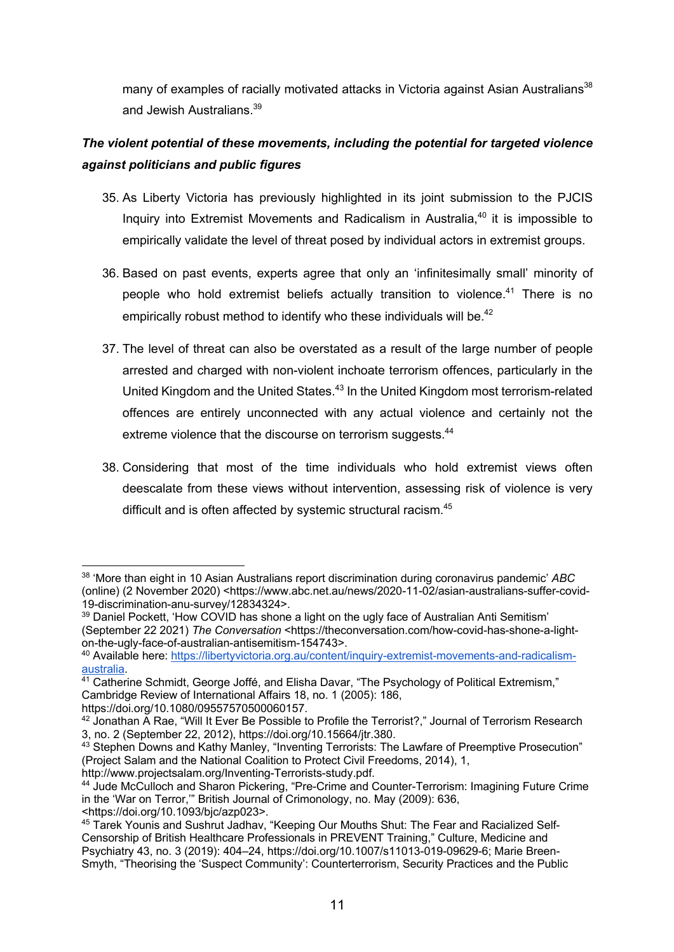many of examples of racially motivated attacks in Victoria against Asian Australians<sup>38</sup> and Jewish Australians.<sup>39</sup>

# *The violent potential of these movements, including the potential for targeted violence against politicians and public figures*

- 35. As Liberty Victoria has previously highlighted in its joint submission to the PJCIS Inquiry into Extremist Movements and Radicalism in Australia.<sup>40</sup> it is impossible to empirically validate the level of threat posed by individual actors in extremist groups.
- 36. Based on past events, experts agree that only an 'infinitesimally small' minority of people who hold extremist beliefs actually transition to violence.<sup>41</sup> There is no empirically robust method to identify who these individuals will be.<sup>42</sup>
- 37. The level of threat can also be overstated as a result of the large number of people arrested and charged with non-violent inchoate terrorism offences, particularly in the United Kingdom and the United States.<sup>43</sup> In the United Kingdom most terrorism-related offences are entirely unconnected with any actual violence and certainly not the extreme violence that the discourse on terrorism suggests.<sup>44</sup>
- 38. Considering that most of the time individuals who hold extremist views often deescalate from these views without intervention, assessing risk of violence is very difficult and is often affected by systemic structural racism.<sup>45</sup>

<sup>38</sup> 'More than eight in 10 Asian Australians report discrimination during coronavirus pandemic' *ABC*  (online) (2 November 2020) <https://www.abc.net.au/news/2020-11-02/asian-australians-suffer-covid-19-discrimination-anu-survey/12834324>.

 $39$  Daniel Pockett, 'How COVID has shone a light on the ugly face of Australian Anti Semitism' (September 22 2021) *The Conversation* <https://theconversation.com/how-covid-has-shone-a-lighton-the-ugly-face-of-australian-antisemitism-154743>.

<sup>40</sup> Available here: https://libertyvictoria.org.au/content/inquiry-extremist-movements-and-radicalism-

<sup>&</sup>lt;sup>41</sup> Catherine Schmidt, George Joffé, and Elisha Davar, "The Psychology of Political Extremism." Cambridge Review of International Affairs 18, no. 1 (2005): 186, https://doi.org/10.1080/09557570500060157.

<sup>42</sup> Jonathan A Rae, "Will It Ever Be Possible to Profile the Terrorist?," Journal of Terrorism Research 3, no. 2 (September 22, 2012), https://doi.org/10.15664/jtr.380.

<sup>43</sup> Stephen Downs and Kathy Manley, "Inventing Terrorists: The Lawfare of Preemptive Prosecution" (Project Salam and the National Coalition to Protect Civil Freedoms, 2014), 1, http://www.projectsalam.org/Inventing-Terrorists-study.pdf.

<sup>44</sup> Jude McCulloch and Sharon Pickering, "Pre-Crime and Counter-Terrorism: Imagining Future Crime in the 'War on Terror,'" British Journal of Crimonology, no. May (2009): 636, <https://doi.org/10.1093/bjc/azp023>.

<sup>45</sup> Tarek Younis and Sushrut Jadhav, "Keeping Our Mouths Shut: The Fear and Racialized Self-Censorship of British Healthcare Professionals in PREVENT Training," Culture, Medicine and Psychiatry 43, no. 3 (2019): 404–24, https://doi.org/10.1007/s11013-019-09629-6; Marie Breen-Smyth, "Theorising the 'Suspect Community': Counterterrorism, Security Practices and the Public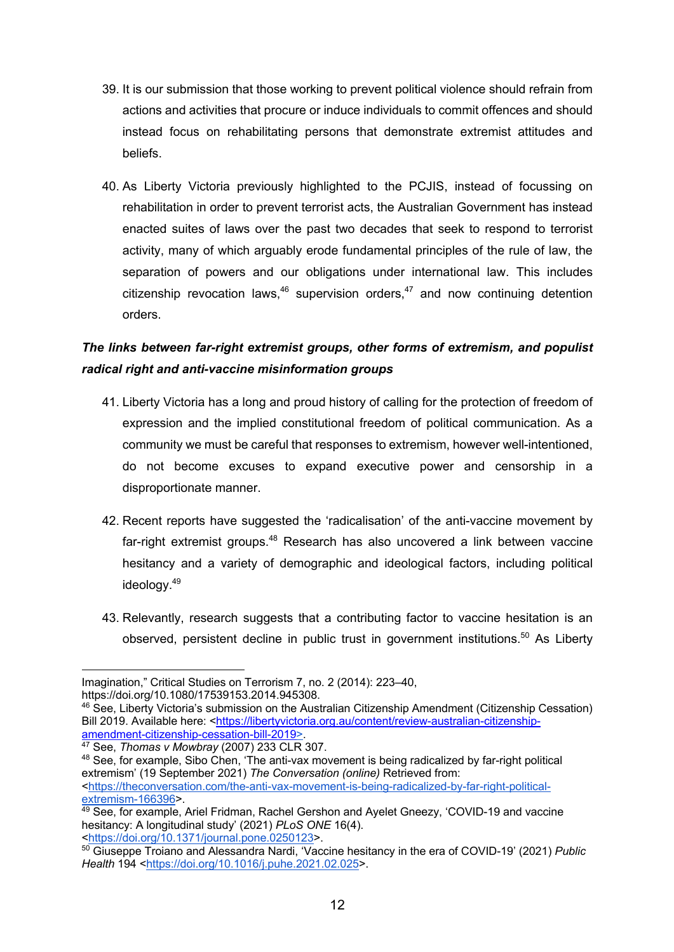- 39. It is our submission that those working to prevent political violence should refrain from actions and activities that procure or induce individuals to commit offences and should instead focus on rehabilitating persons that demonstrate extremist attitudes and beliefs.
- 40. As Liberty Victoria previously highlighted to the PCJIS, instead of focussing on rehabilitation in order to prevent terrorist acts, the Australian Government has instead enacted suites of laws over the past two decades that seek to respond to terrorist activity, many of which arguably erode fundamental principles of the rule of law, the separation of powers and our obligations under international law. This includes citizenship revocation laws,  $46$  supervision orders,  $47$  and now continuing detention orders.

# *The links between far-right extremist groups, other forms of extremism, and populist radical right and anti-vaccine misinformation groups*

- 41. Liberty Victoria has a long and proud history of calling for the protection of freedom of expression and the implied constitutional freedom of political communication. As a community we must be careful that responses to extremism, however well-intentioned, do not become excuses to expand executive power and censorship in a disproportionate manner.
- 42. Recent reports have suggested the 'radicalisation' of the anti-vaccine movement by far-right extremist groups.<sup>48</sup> Research has also uncovered a link between vaccine hesitancy and a variety of demographic and ideological factors, including political ideology.49
- 43. Relevantly, research suggests that a contributing factor to vaccine hesitation is an observed, persistent decline in public trust in government institutions.<sup>50</sup> As Liberty

Imagination," Critical Studies on Terrorism 7, no. 2 (2014): 223–40,

https://doi.org/10.1080/17539153.2014.945308.

<sup>46</sup> See, Liberty Victoria's submission on the Australian Citizenship Amendment (Citizenship Cessation) Bill 2019. Available here: <https://libertyvictoria.org.au/content/review-australian-citizenshipamendment-citizenship-cessation-bill-2019>. 47 See, *Thomas v Mowbray* (2007) 233 CLR 307.

<sup>48</sup> See, for example, Sibo Chen, 'The anti-vax movement is being radicalized by far-right political extremism' (19 September 2021) *The Conversation (online)* Retrieved from: <https://theconversation.com/the-anti-vax-movement-is-being-radicalized-by-far-right-politicalextremism-166396>.

<sup>49</sup> See, for example, Ariel Fridman, Rachel Gershon and Ayelet Gneezy, 'COVID-19 and vaccine hesitancy: A longitudinal study' (2021) *PLoS ONE* 16(4). <https://doi.org/10.1371/journal.pone.0250123>.

<sup>50</sup> Giuseppe Troiano and Alessandra Nardi, 'Vaccine hesitancy in the era of COVID-19' (2021) *Public Health* 194 <https://doi.org/10.1016/j.puhe.2021.02.025>.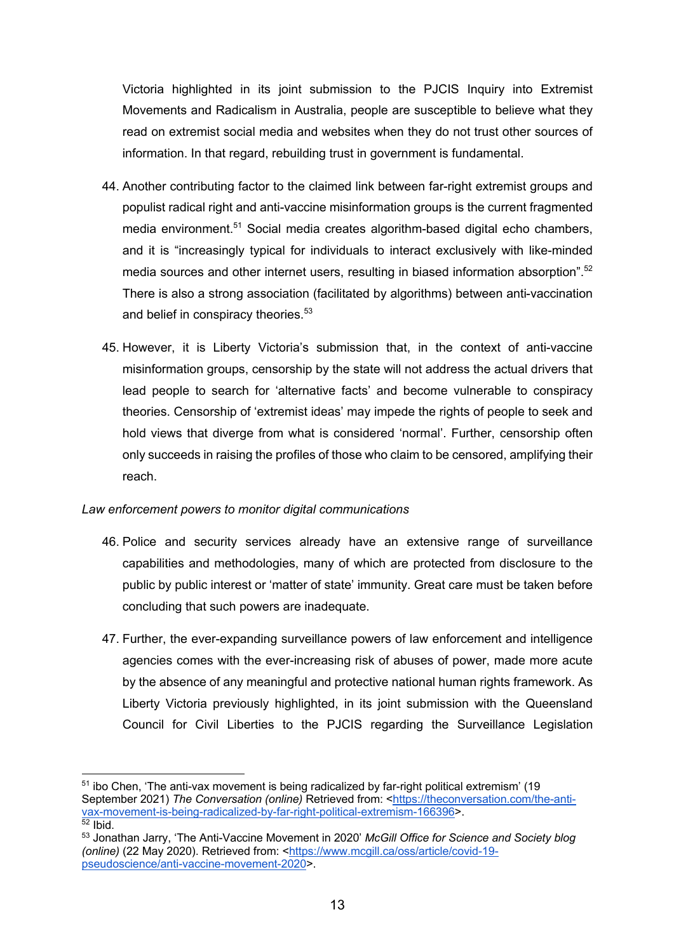Victoria highlighted in its joint submission to the PJCIS Inquiry into Extremist Movements and Radicalism in Australia, people are susceptible to believe what they read on extremist social media and websites when they do not trust other sources of information. In that regard, rebuilding trust in government is fundamental.

- 44. Another contributing factor to the claimed link between far-right extremist groups and populist radical right and anti-vaccine misinformation groups is the current fragmented media environment.<sup>51</sup> Social media creates algorithm-based digital echo chambers, and it is "increasingly typical for individuals to interact exclusively with like-minded media sources and other internet users, resulting in biased information absorption".<sup>52</sup> There is also a strong association (facilitated by algorithms) between anti-vaccination and belief in conspiracy theories.<sup>53</sup>
- 45. However, it is Liberty Victoria's submission that, in the context of anti-vaccine misinformation groups, censorship by the state will not address the actual drivers that lead people to search for 'alternative facts' and become vulnerable to conspiracy theories. Censorship of 'extremist ideas' may impede the rights of people to seek and hold views that diverge from what is considered 'normal'. Further, censorship often only succeeds in raising the profiles of those who claim to be censored, amplifying their reach.

#### *Law enforcement powers to monitor digital communications*

- 46. Police and security services already have an extensive range of surveillance capabilities and methodologies, many of which are protected from disclosure to the public by public interest or 'matter of state' immunity. Great care must be taken before concluding that such powers are inadequate.
- 47. Further, the ever-expanding surveillance powers of law enforcement and intelligence agencies comes with the ever-increasing risk of abuses of power, made more acute by the absence of any meaningful and protective national human rights framework. As Liberty Victoria previously highlighted, in its joint submission with the Queensland Council for Civil Liberties to the PJCIS regarding the Surveillance Legislation

<sup>51</sup> ibo Chen, 'The anti-vax movement is being radicalized by far-right political extremism' (19 September 2021) *The Conversation (online)* Retrieved from: <https://theconversation.com/the-antivax-movement-is-being-radicalized-by-far-right-political-extremism-166396>.  $52$  Ibid.

<sup>53</sup> Jonathan Jarry, 'The Anti-Vaccine Movement in 2020' *McGill Office for Science and Society blog (online)* (22 May 2020). Retrieved from: <https://www.mcgill.ca/oss/article/covid-19 pseudoscience/anti-vaccine-movement-2020>.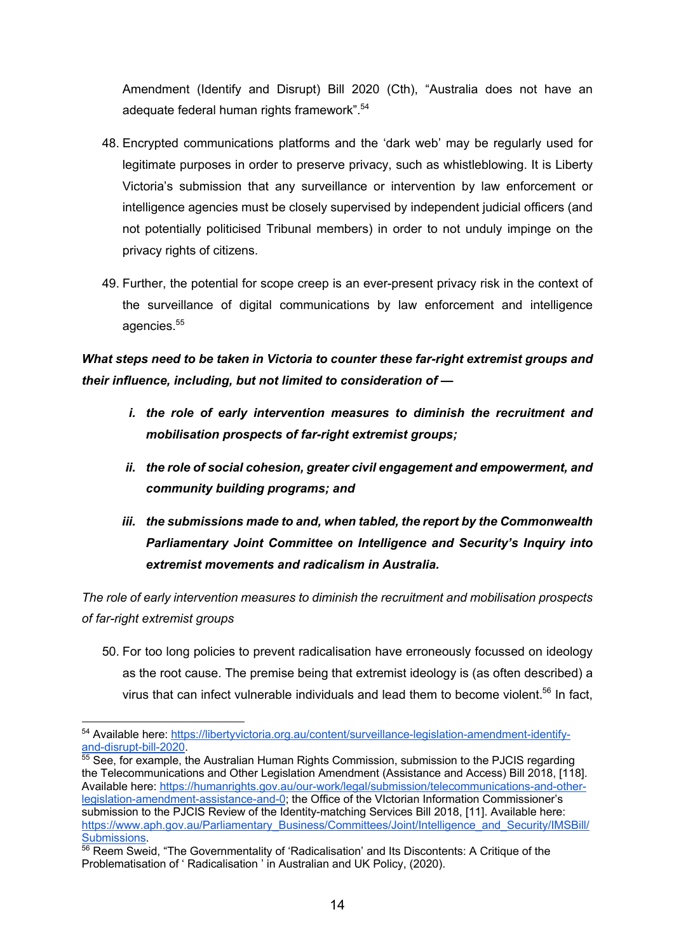Amendment (Identify and Disrupt) Bill 2020 (Cth), "Australia does not have an adequate federal human rights framework".<sup>54</sup>

- 48. Encrypted communications platforms and the 'dark web' may be regularly used for legitimate purposes in order to preserve privacy, such as whistleblowing. It is Liberty Victoria's submission that any surveillance or intervention by law enforcement or intelligence agencies must be closely supervised by independent judicial officers (and not potentially politicised Tribunal members) in order to not unduly impinge on the privacy rights of citizens.
- 49. Further, the potential for scope creep is an ever-present privacy risk in the context of the surveillance of digital communications by law enforcement and intelligence agencies.<sup>55</sup>

# *What steps need to be taken in Victoria to counter these far-right extremist groups and their influence, including, but not limited to consideration of —*

- *i. the role of early intervention measures to diminish the recruitment and mobilisation prospects of far-right extremist groups;*
- *ii. the role of social cohesion, greater civil engagement and empowerment, and community building programs; and*
- *iii. the submissions made to and, when tabled, the report by the Commonwealth Parliamentary Joint Committee on Intelligence and Security's Inquiry into extremist movements and radicalism in Australia.*

*The role of early intervention measures to diminish the recruitment and mobilisation prospects of far-right extremist groups*

50. For too long policies to prevent radicalisation have erroneously focussed on ideology as the root cause. The premise being that extremist ideology is (as often described) a virus that can infect vulnerable individuals and lead them to become violent.<sup>56</sup> In fact,

<sup>54</sup> Available here: https://libertyvictoria.org.au/content/surveillance-legislation-amendment-identify-<br>and-disrupt-bill-2020.

 $\overline{55}$  See, for example, the Australian Human Rights Commission, submission to the PJCIS regarding the Telecommunications and Other Legislation Amendment (Assistance and Access) Bill 2018, [118]. Available here: https://humanrights.gov.au/our-work/legal/submission/telecommunications-and-otherlegislation-amendment-assistance-and-0; the Office of the VIctorian Information Commissioner's submission to the PJCIS Review of the Identity-matching Services Bill 2018, [11]. Available here: https://www.aph.gov.au/Parliamentary\_Business/Committees/Joint/Intelligence\_and\_Security/IMSBill/

Submissions.<br><sup>56</sup> Reem Sweid, "The Governmentality of 'Radicalisation' and Its Discontents: A Critique of the Problematisation of ' Radicalisation ' in Australian and UK Policy, (2020).